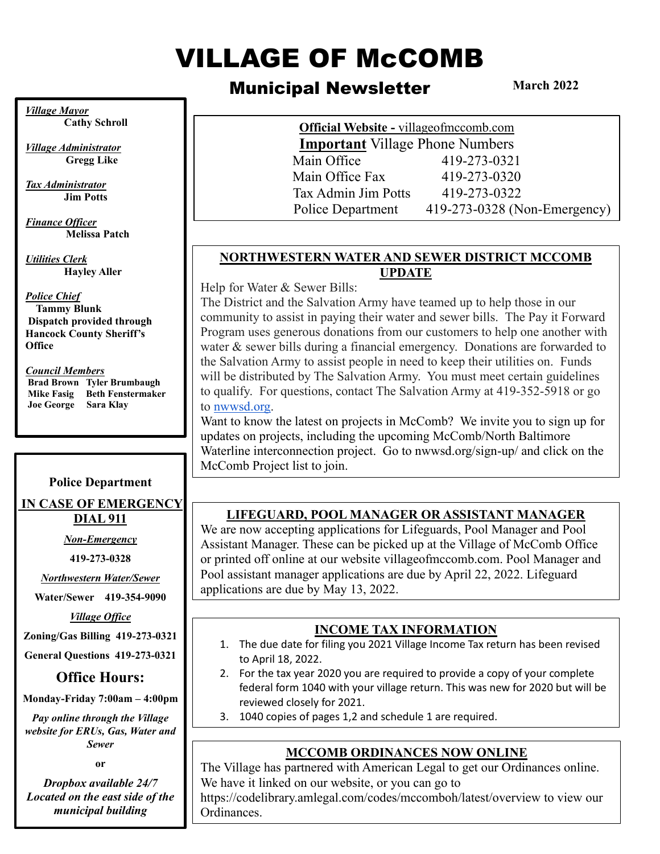# VILLAGE OF McCOMB

# Municipal Newsletter

**March 2022**

*Village Mayor* **Cathy Schroll**

*Village Administrator*  **Gregg Like**

*Tax Administrator* **Jim Potts**

*Finance Officer*  **Melissa Patch**

*Utilities Clerk* **Hayley Aller**

#### *Police Chief*

 **Tammy Blunk Dispatch provided through Hancock County Sheriff's Office**

#### *Council Members*

**Brad Brown Tyler Brumbaugh Mike Fasig Beth Fenstermaker Joe George Sara Klay**

#### **Police Department**

**IN CASE OF EMERGENCY DIAL 911**

*Non-Emergency* 

**419-273-0328**

*Northwestern Water/Sewer*

**Water/Sewer 419-354-9090**

*Village Office*

**Zoning/Gas Billing 419-273-0321**

**General Questions 419-273-0321**

## **Office Hours:**

**Monday-Friday 7:00am – 4:00pm**

*Pay online through the Village website for ERUs, Gas, Water and Sewer*

**or**

*Dropbox available 24/7 Located on the east side of the municipal building*

**Official Website -** villageofmccomb.com **Important** Village Phone Numbers Main Office 419-273-0321 Main Office Fax 419-273-0320 Tax Admin Jim Potts 419-273-0322 Police Department 419-273-0328 (Non-Emergency)

#### **NORTHWESTERN WATER AND SEWER DISTRICT MCCOMB UPDATE**

Help for Water & Sewer Bills:

The District and the Salvation Army have teamed up to help those in our community to assist in paying their water and sewer bills. The Pay it Forward Program uses generous donations from our customers to help one another with water & sewer bills during a financial emergency. Donations are forwarded to the Salvation Army to assist people in need to keep their utilities on. Funds will be distributed by The Salvation Army. You must meet certain guidelines to qualify. For questions, contact The Salvation Army at 419-352-5918 or go to [nwwsd.org.](http://nwwsd.org/)

Want to know the latest on projects in McComb? We invite you to sign up for updates on projects, including the upcoming McComb/North Baltimore Waterline interconnection project. Go to nwwsd.org/sign-up/ and click on the McComb Project list to join.

## **LIFEGUARD, POOL MANAGER OR ASSISTANT MANAGER**

We are now accepting applications for Lifeguards, Pool Manager and Pool Assistant Manager. These can be picked up at the Village of McComb Office or printed off online at our website villageofmccomb.com. Pool Manager and Pool assistant manager applications are due by April 22, 2022. Lifeguard applications are due by May 13, 2022.

#### **INCOME TAX INFORMATION**

- 1. The due date for filing you 2021 Village Income Tax return has been revised to April 18, 2022.
- 2. For the tax year 2020 you are required to provide a copy of your complete federal form 1040 with your village return. This was new for 2020 but will be reviewed closely for 2021.
- 3. 1040 copies of pages 1,2 and schedule 1 are required.

## **MCCOMB ORDINANCES NOW ONLINE**

The Village has partnered with American Legal to get our Ordinances online. We have it linked on our website, or you can go to

https://codelibrary.amlegal.com/codes/mccomboh/latest/overview to view our Ordinances.